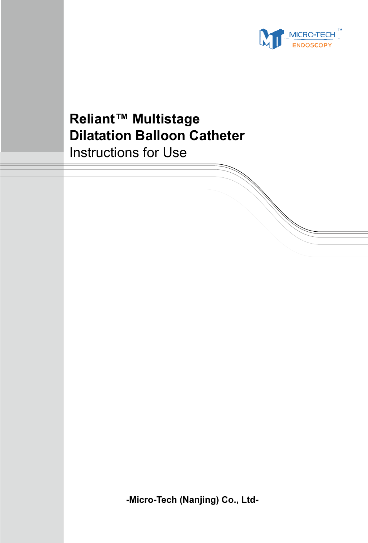

# **Reliant™ Multistage Dilatation Balloon Catheter** Instructions for Use

**-Micro-Tech (Nanjing) Co., Ltd-**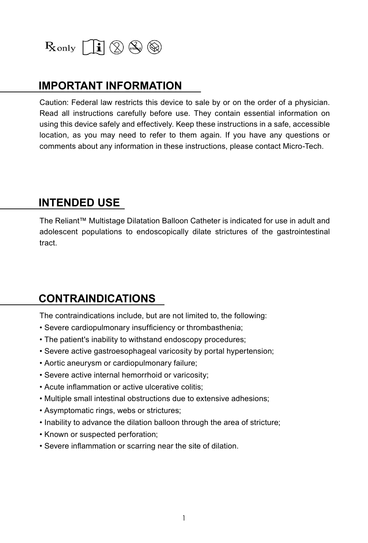

#### **IMPORTANT INFORMATION**

Caution: Federal law restricts this device to sale by or on the order of a physician. Read all instructions carefully before use. They contain essential information on using this device safely and effectively. Keep these instructions in a safe, accessible location, as you may need to refer to them again. If you have any questions or comments about any information in these instructions, please contact Micro-Tech.

#### **INTENDED USE**

The Reliant™ Multistage Dilatation Balloon Catheter is indicated for use in adult and adolescent populations to endoscopically dilate strictures of the gastrointestinal tract.

#### **CONTRAINDICATIONS**

The contraindications include, but are not limited to, the following:

- Severe cardiopulmonary insufficiency or thrombasthenia;
- The patient's inability to withstand endoscopy procedures;
- Severe active gastroesophageal varicosity by portal hypertension;
- Aortic aneurysm or cardiopulmonary failure;
- Severe active internal hemorrhoid or varicosity;
- Acute inflammation or active ulcerative colitis;
- Multiple small intestinal obstructions due to extensive adhesions;
- Asymptomatic rings, webs or strictures;
- Inability to advance the dilation balloon through the area of stricture;
- Known or suspected perforation;
- Severe inflammation or scarring near the site of dilation.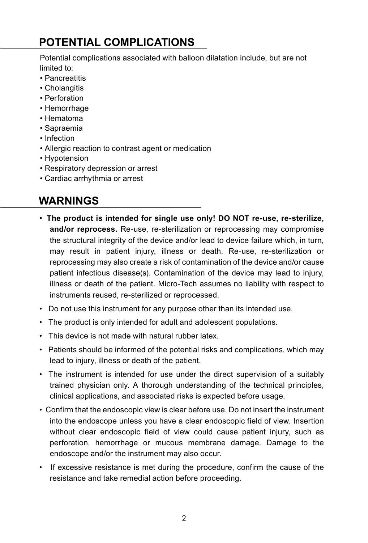## **POTENTIAL COMPLICATIONS**

Potential complications associated with balloon dilatation include, but are not limited to:

- Pancreatitis
- Cholangitis
- Perforation
- Hemorrhage
- Hematoma
- Sapraemia
- Infection
- Allergic reaction to contrast agent or medication
- Hypotension
- Respiratory depression or arrest
- Cardiac arrhythmia or arrest

## **WARNINGS**

- **The product is intended for single use only! DO NOT re-use, re-sterilize, and/or reprocess.** Re-use, re-sterilization or reprocessing may compromise the structural integrity of the device and/or lead to device failure which, in turn, may result in patient injury, illness or death. Re-use, re-sterilization or reprocessing may also create a risk of contamination of the device and/or cause patient infectious disease(s). Contamination of the device may lead to injury, illness or death of the patient. Micro-Tech assumes no liability with respect to instruments reused, re-sterilized or reprocessed.
- Do not use this instrument for any purpose other than its intended use.
- The product is only intended for adult and adolescent populations.
- This device is not made with natural rubber latex.
- Patients should be informed of the potential risks and complications, which may lead to injury, illness or death of the patient.
- The instrument is intended for use under the direct supervision of a suitably trained physician only. A thorough understanding of the technical principles, clinical applications, and associated risks is expected before usage.
- Confirm that the endoscopic view is clear before use. Do not insert the instrument into the endoscope unless you have a clear endoscopic field of view. Insertion without clear endoscopic field of view could cause patient injury, such as perforation, hemorrhage or mucous membrane damage. Damage to the endoscope and/or the instrument may also occur.
- If excessive resistance is met during the procedure, confirm the cause of the resistance and take remedial action before proceeding.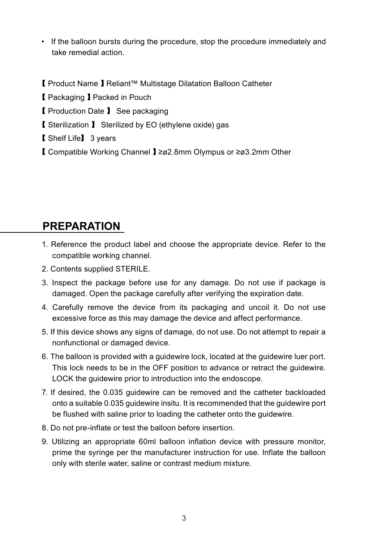- If the balloon bursts during the procedure, stop the procedure immediately and take remedial action.
- 【 Product Name 】Reliant™ Multistage Dilatation Balloon Catheter
- 【 Packaging 】Packed in Pouch
- 【 Production Date 】 See packaging
- 【 Sterilization 】 Sterilized by EO (ethylene oxide) gas
- 【 Shelf Life】 3 years
- 【 Compatible Working Channel 】≥ø2.8mm Olympus or ≥ø3.2mm Other

#### **PREPARATION**

- 1. Reference the product label and choose the appropriate device. Refer to the compatible working channel.
- 2. Contents supplied STERILE.
- 3. Inspect the package before use for any damage. Do not use if package is damaged. Open the package carefully after verifying the expiration date.
- 4. Carefully remove the device from its packaging and uncoil it. Do not use excessive force as this may damage the device and affect performance.
- 5. If this device shows any signs of damage, do not use. Do not attempt to repair a nonfunctional or damaged device.
- 6. The balloon is provided with a guidewire lock, located at the guidewire luer port. This lock needs to be in the OFF position to advance or retract the guidewire. LOCK the guidewire prior to introduction into the endoscope.
- 7. If desired, the 0.035 guidewire can be removed and the catheter backloaded onto a suitable 0.035 guidewire insitu. It is recommended that the guidewire port be flushed with saline prior to loading the catheter onto the guidewire.
- 8. Do not pre-inflate or test the balloon before insertion.
- 9. Utilizing an appropriate 60ml balloon inflation device with pressure monitor, prime the syringe per the manufacturer instruction for use. Inflate the balloon only with sterile water, saline or contrast medium mixture.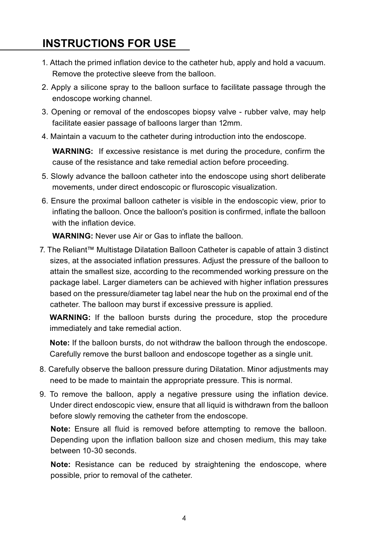### **INSTRUCTIONS FOR USE**

- 1. Attach the primed inflation device to the catheter hub, apply and hold a vacuum. Remove the protective sleeve from the balloon.
- 2. Apply a silicone spray to the balloon surface to facilitate passage through the endoscope working channel.
- 3. Opening or removal of the endoscopes biopsy valve rubber valve, may help facilitate easier passage of balloons larger than 12mm.
- 4. Maintain a vacuum to the catheter during introduction into the endoscope.

**WARNING:** If excessive resistance is met during the procedure, confirm the cause of the resistance and take remedial action before proceeding.

- 5. Slowly advance the balloon catheter into the endoscope using short deliberate movements, under direct endoscopic or fluroscopic visualization.
- 6. Ensure the proximal balloon catheter is visible in the endoscopic view, prior to inflating the balloon. Once the balloon's position is confirmed, inflate the balloon with the inflation device.

**WARNING:** Never use Air or Gas to inflate the balloon.

7. The Reliant™ Multistage Dilatation Balloon Catheter is capable of attain 3 distinct sizes, at the associated inflation pressures. Adjust the pressure of the balloon to attain the smallest size, according to the recommended working pressure on the package label. Larger diameters can be achieved with higher inflation pressures based on the pressure/diameter tag label near the hub on the proximal end of the catheter. The balloon may burst if excessive pressure is applied.

**WARNING:** If the balloon bursts during the procedure, stop the procedure immediately and take remedial action.

**Note:** If the balloon bursts, do not withdraw the balloon through the endoscope. Carefully remove the burst balloon and endoscope together as a single unit.

- 8. Carefully observe the balloon pressure during Dilatation. Minor adjustments may need to be made to maintain the appropriate pressure. This is normal.
- 9. To remove the balloon, apply a negative pressure using the inflation device. Under direct endoscopic view, ensure that all liquid is withdrawn from the balloon before slowly removing the catheter from the endoscope.

**Note:** Ensure all fluid is removed before attempting to remove the balloon. Depending upon the inflation balloon size and chosen medium, this may take between 10-30 seconds.

**Note:** Resistance can be reduced by straightening the endoscope, where possible, prior to removal of the catheter.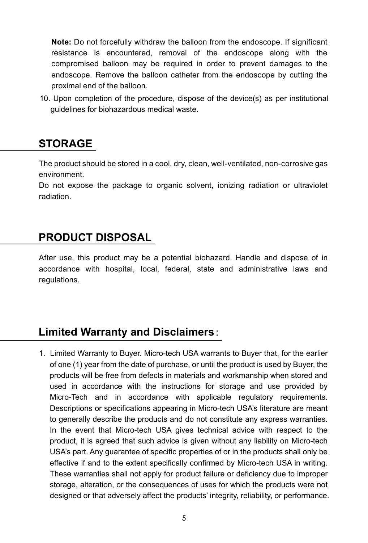**Note:** Do not forcefully withdraw the balloon from the endoscope. If significant resistance is encountered, removal of the endoscope along with the compromised balloon may be required in order to prevent damages to the endoscope. Remove the balloon catheter from the endoscope by cutting the proximal end of the balloon.

10. Upon completion of the procedure, dispose of the device(s) as per institutional guidelines for biohazardous medical waste.

### **STORAGE**

The product should be stored in a cool, dry, clean, well-ventilated, non-corrosive gas environment.

Do not expose the package to organic solvent, ionizing radiation or ultraviolet radiation.

#### **PRODUCT DISPOSAL**

After use, this product may be a potential biohazard. Handle and dispose of in accordance with hospital, local, federal, state and administrative laws and regulations.

#### **Limited Warranty and Disclaimers**:

1. Limited Warranty to Buyer. Micro-tech USA warrants to Buyer that, for the earlier of one (1) year from the date of purchase, or until the product is used by Buyer, the products will be free from defects in materials and workmanship when stored and used in accordance with the instructions for storage and use provided by Micro-Tech and in accordance with applicable regulatory requirements. Descriptions or specifications appearing in Micro-tech USA's literature are meant to generally describe the products and do not constitute any express warranties. In the event that Micro-tech USA gives technical advice with respect to the product, it is agreed that such advice is given without any liability on Micro-tech USA's part. Any guarantee of specific properties of or in the products shall only be effective if and to the extent specifically confirmed by Micro-tech USA in writing. These warranties shall not apply for product failure or deficiency due to improper storage, alteration, or the consequences of uses for which the products were not designed or that adversely affect the products' integrity, reliability, or performance.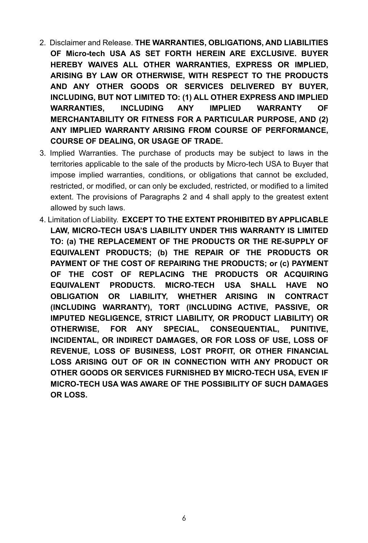- 2. Disclaimer and Release. **THE WARRANTIES, OBLIGATIONS, AND LIABILITIES OF Micro-tech USA AS SET FORTH HEREIN ARE EXCLUSIVE. BUYER HEREBY WAIVES ALL OTHER WARRANTIES, EXPRESS OR IMPLIED, ARISING BY LAW OR OTHERWISE, WITH RESPECT TO THE PRODUCTS AND ANY OTHER GOODS OR SERVICES DELIVERED BY BUYER, INCLUDING, BUT NOT LIMITED TO: (1) ALL OTHER EXPRESS AND IMPLIED WARRANTIES, INCLUDING ANY IMPLIED WARRANTY OF MERCHANTABILITY OR FITNESS FOR A PARTICULAR PURPOSE, AND (2) ANY IMPLIED WARRANTY ARISING FROM COURSE OF PERFORMANCE, COURSE OF DEALING, OR USAGE OF TRADE.**
- 3. Implied Warranties. The purchase of products may be subject to laws in the territories applicable to the sale of the products by Micro-tech USA to Buyer that impose implied warranties, conditions, or obligations that cannot be excluded, restricted, or modified, or can only be excluded, restricted, or modified to a limited extent. The provisions of Paragraphs 2 and 4 shall apply to the greatest extent allowed by such laws.
- 4. Limitation of Liability. **EXCEPT TO THE EXTENT PROHIBITED BY APPLICABLE LAW, MICRO-TECH USA'S LIABILITY UNDER THIS WARRANTY IS LIMITED TO: (a) THE REPLACEMENT OF THE PRODUCTS OR THE RE-SUPPLY OF EQUIVALENT PRODUCTS; (b) THE REPAIR OF THE PRODUCTS OR PAYMENT OF THE COST OF REPAIRING THE PRODUCTS; or (c) PAYMENT OF THE COST OF REPLACING THE PRODUCTS OR ACQUIRING EQUIVALENT PRODUCTS. MICRO-TECH USA SHALL HAVE NO OBLIGATION OR LIABILITY, WHETHER ARISING IN CONTRACT (INCLUDING WARRANTY), TORT (INCLUDING ACTIVE, PASSIVE, OR IMPUTED NEGLIGENCE, STRICT LIABILITY, OR PRODUCT LIABILITY) OR OTHERWISE, FOR ANY SPECIAL, CONSEQUENTIAL, PUNITIVE, INCIDENTAL, OR INDIRECT DAMAGES, OR FOR LOSS OF USE, LOSS OF REVENUE, LOSS OF BUSINESS, LOST PROFIT, OR OTHER FINANCIAL LOSS ARISING OUT OF OR IN CONNECTION WITH ANY PRODUCT OR OTHER GOODS OR SERVICES FURNISHED BY MICRO-TECH USA, EVEN IF MICRO-TECH USA WAS AWARE OF THE POSSIBILITY OF SUCH DAMAGES OR LOSS.**